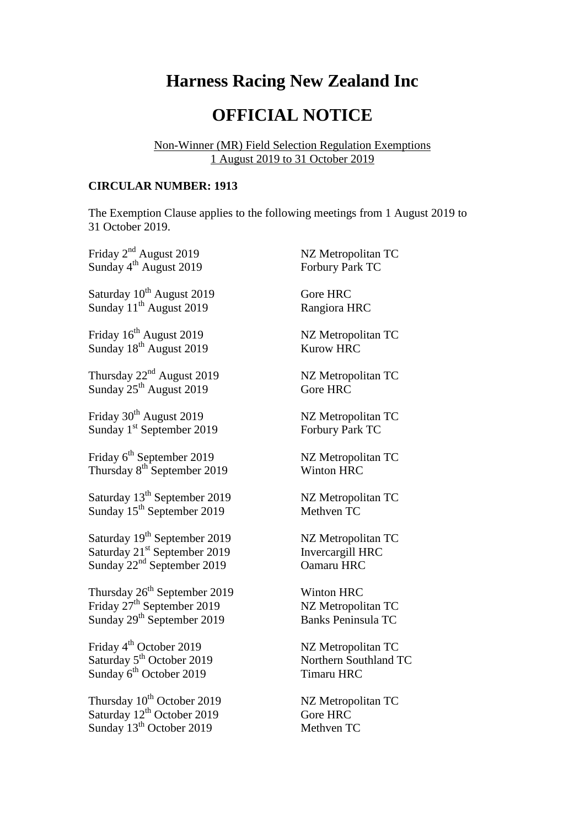## **Harness Racing New Zealand Inc**

## **OFFICIAL NOTICE**

Non-Winner (MR) Field Selection Regulation Exemptions 1 August 2019 to 31 October 2019

## **CIRCULAR NUMBER: 1913**

The Exemption Clause applies to the following meetings from 1 August 2019 to 31 October 2019.

| Friday 2 <sup>nd</sup> August 2019       | NZ Metropolitan TC        |
|------------------------------------------|---------------------------|
| Sunday 4 <sup>th</sup> August 2019       | Forbury Park TC           |
| Saturday 10 <sup>th</sup> August 2019    | Gore HRC                  |
| Sunday 11 <sup>th</sup> August 2019      | Rangiora HRC              |
| Friday 16 <sup>th</sup> August 2019      | NZ Metropolitan TC        |
| Sunday 18 <sup>th</sup> August 2019      | <b>Kurow HRC</b>          |
| Thursday 22 <sup>nd</sup> August 2019    | NZ Metropolitan TC        |
| Sunday $25^{th}$ August 2019             | Gore HRC                  |
| Friday 30 <sup>th</sup> August 2019      | NZ Metropolitan TC        |
| Sunday 1 <sup>st</sup> September 2019    | Forbury Park TC           |
| Friday 6 <sup>th</sup> September 2019    | NZ Metropolitan TC        |
| Thursday 8 <sup>th</sup> September 2019  | <b>Winton HRC</b>         |
| Saturday 13 <sup>th</sup> September 2019 | NZ Metropolitan TC        |
| Sunday 15 <sup>th</sup> September 2019   | Methven TC                |
| Saturday 19 <sup>th</sup> September 2019 | NZ Metropolitan TC        |
| Saturday 21 <sup>st</sup> September 2019 | Invercargill HRC          |
| Sunday $22nd$ September 2019             | Oamaru HRC                |
| Thursday 26 <sup>th</sup> September 2019 | <b>Winton HRC</b>         |
| Friday 27 <sup>th</sup> September 2019   | NZ Metropolitan TC        |
| Sunday 29 <sup>th</sup> September 2019   | <b>Banks Peninsula TC</b> |
| Friday 4 <sup>th</sup> October 2019      | NZ Metropolitan TC        |
| Saturday 5 <sup>th</sup> October 2019    | Northern Southland TC     |
| Sunday 6 <sup>th</sup> October 2019      | <b>Timaru HRC</b>         |
| Thursday 10 <sup>th</sup> October 2019   | NZ Metropolitan TC        |
| Saturday 12 <sup>th</sup> October 2019   | Gore HRC                  |
| Sunday 13 <sup>th</sup> October 2019     | Methven TC                |